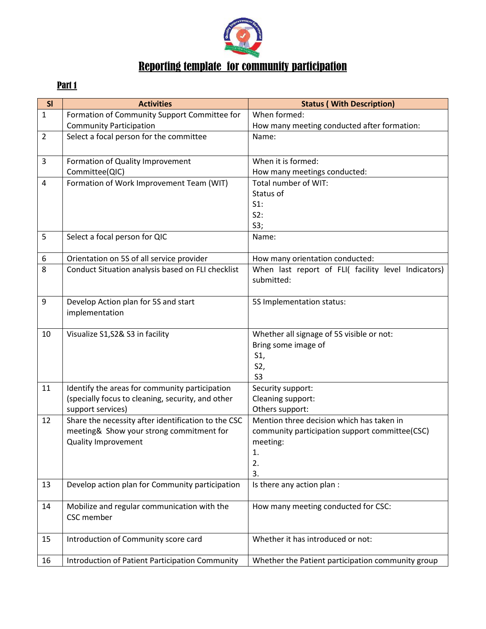

## Reporting template for community participation

## Part 1

| SI             | <b>Activities</b>                                                                                   | <b>Status (With Description)</b>                    |
|----------------|-----------------------------------------------------------------------------------------------------|-----------------------------------------------------|
| $\mathbf{1}$   | Formation of Community Support Committee for                                                        | When formed:                                        |
|                | <b>Community Participation</b>                                                                      | How many meeting conducted after formation:         |
| $\overline{2}$ | Select a focal person for the committee                                                             | Name:                                               |
|                |                                                                                                     |                                                     |
| 3              | Formation of Quality Improvement                                                                    | When it is formed:                                  |
|                | Committee(QIC)                                                                                      | How many meetings conducted:                        |
| 4              | Formation of Work Improvement Team (WIT)                                                            | Total number of WIT:                                |
|                |                                                                                                     | Status of                                           |
|                |                                                                                                     | $S1$ :                                              |
|                |                                                                                                     | S2:                                                 |
|                |                                                                                                     | S3;                                                 |
| 5              | Select a focal person for QIC                                                                       | Name:                                               |
| 6              | Orientation on 5S of all service provider                                                           | How many orientation conducted:                     |
| 8              | Conduct Situation analysis based on FLI checklist                                                   | When last report of FLI( facility level Indicators) |
|                |                                                                                                     | submitted:                                          |
|                |                                                                                                     |                                                     |
| 9              | Develop Action plan for 5S and start                                                                | 5S Implementation status:                           |
|                | implementation                                                                                      |                                                     |
|                |                                                                                                     |                                                     |
| 10             | Visualize S1, S2& S3 in facility                                                                    | Whether all signage of 5S visible or not:           |
|                |                                                                                                     | Bring some image of                                 |
|                |                                                                                                     | S1,                                                 |
|                |                                                                                                     | S2,                                                 |
| 11             |                                                                                                     | S <sub>3</sub>                                      |
|                | Identify the areas for community participation<br>(specially focus to cleaning, security, and other | Security support:<br>Cleaning support:              |
|                | support services)                                                                                   | Others support:                                     |
| 12             | Share the necessity after identification to the CSC                                                 | Mention three decision which has taken in           |
|                | meeting& Show your strong commitment for                                                            | community participation support committee(CSC)      |
|                | <b>Quality Improvement</b>                                                                          | meeting:                                            |
|                |                                                                                                     | 1.                                                  |
|                |                                                                                                     | 2.                                                  |
|                |                                                                                                     | 3.                                                  |
| 13             | Develop action plan for Community participation                                                     | Is there any action plan :                          |
|                |                                                                                                     |                                                     |
| 14             | Mobilize and regular communication with the                                                         | How many meeting conducted for CSC:                 |
|                | CSC member                                                                                          |                                                     |
| 15             | Introduction of Community score card                                                                | Whether it has introduced or not:                   |
|                |                                                                                                     |                                                     |
| 16             | Introduction of Patient Participation Community                                                     | Whether the Patient participation community group   |